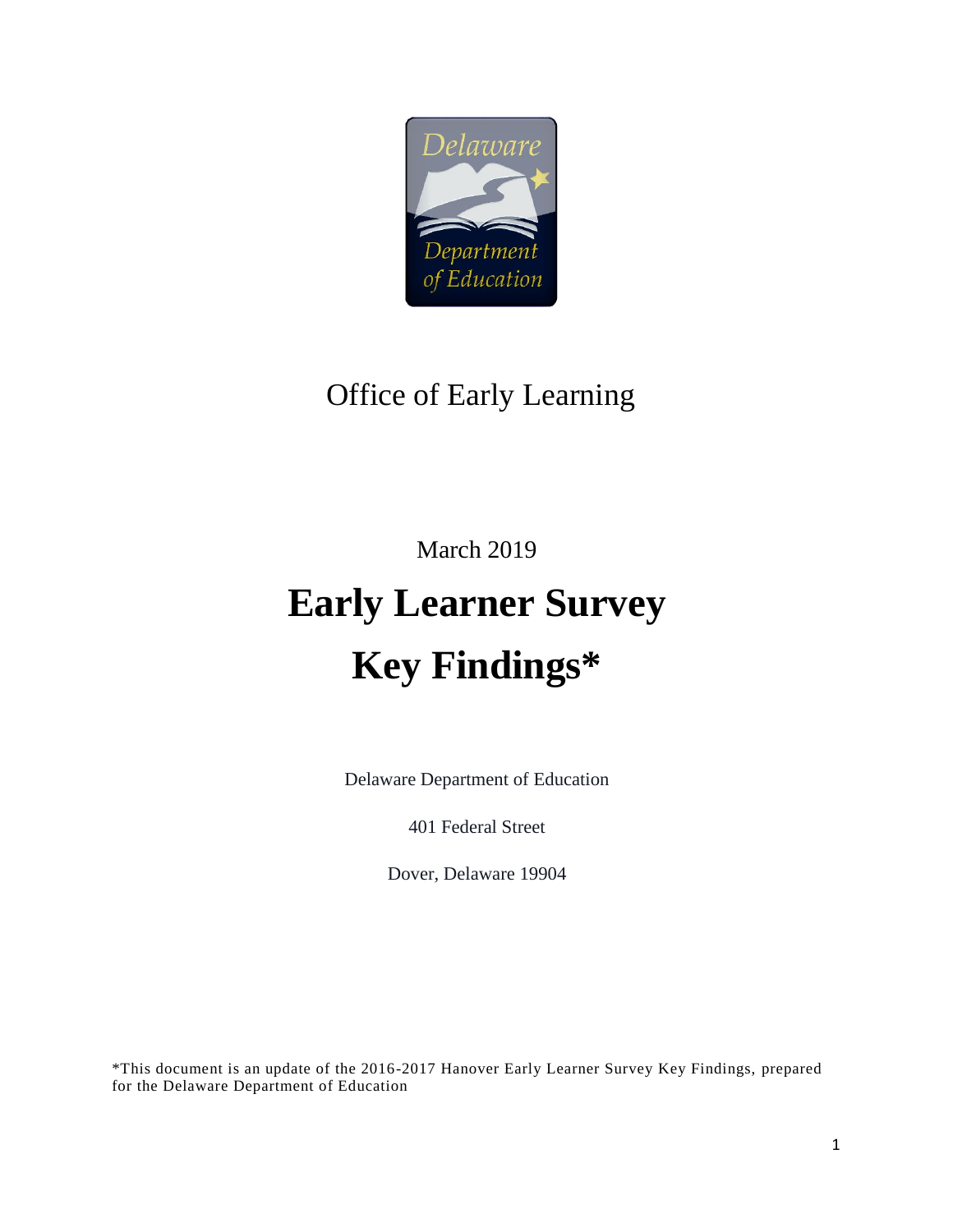

# Office of Early Learning

March 2019

# **Early Learner Survey Key Findings\***

Delaware Department of Education

401 Federal Street

Dover, Delaware 19904

\*This document is an update of the 2016-2017 Hanover Early Learner Survey Key Findings, prepared for the Delaware Department of Education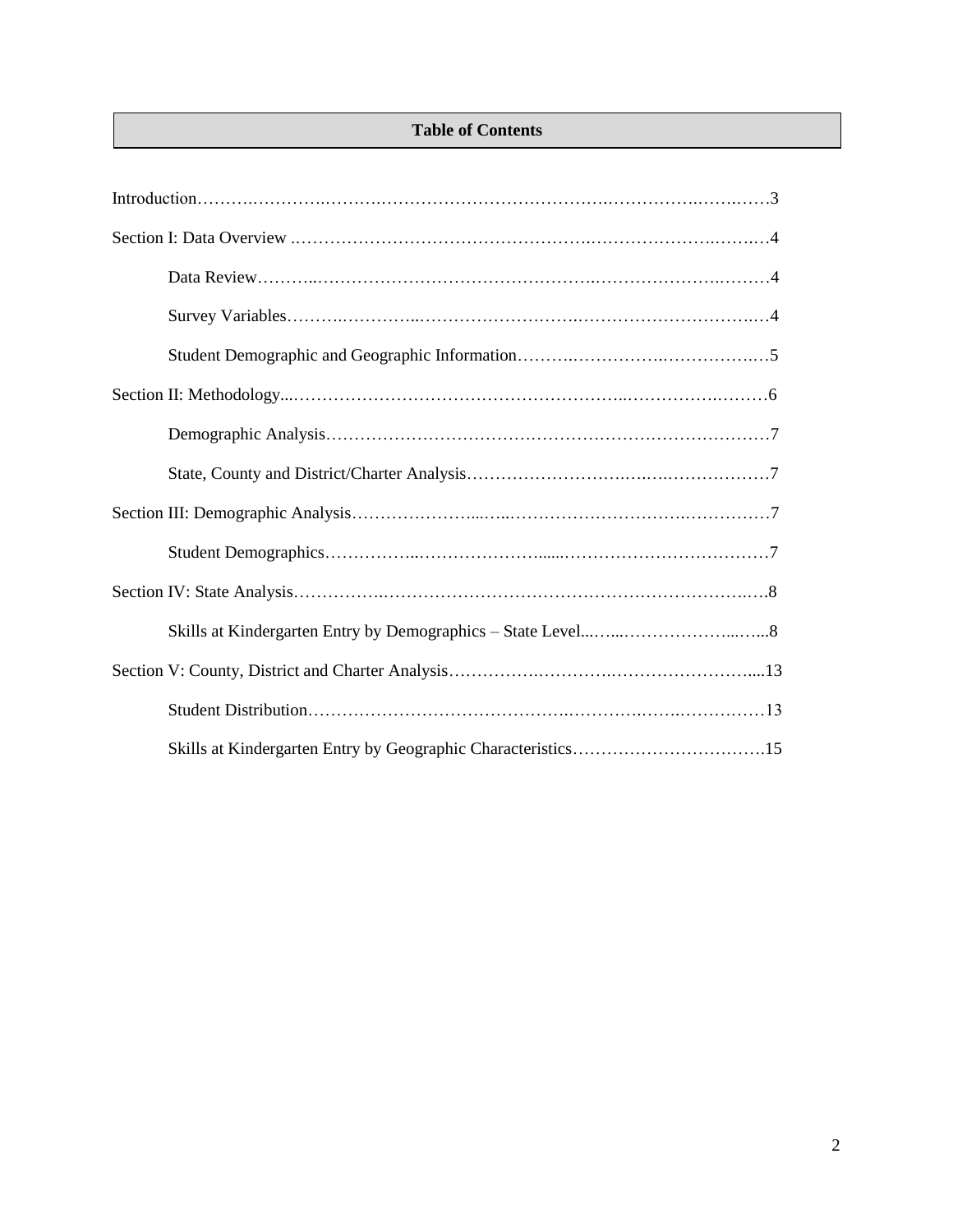# **Table of Contents**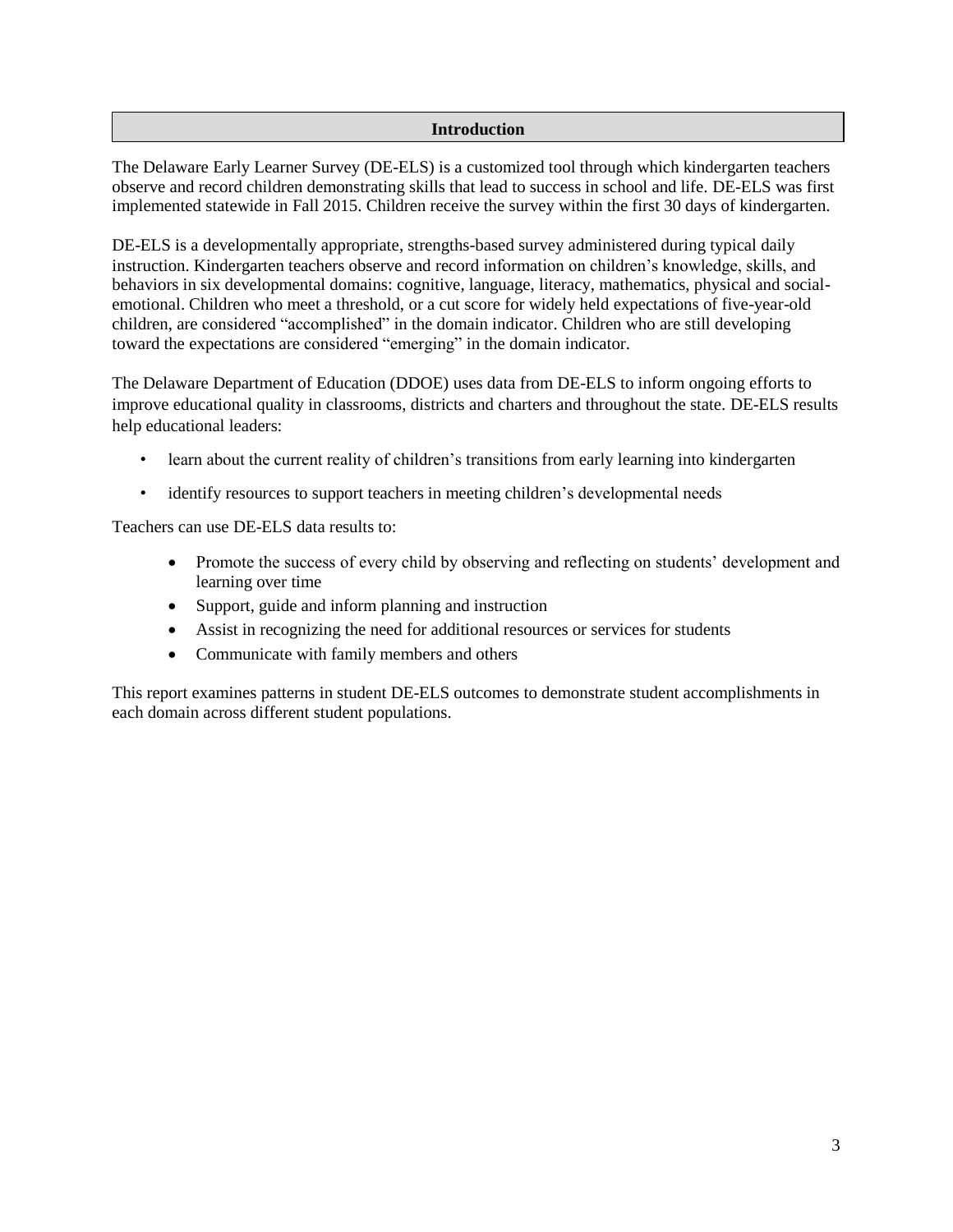#### **Introduction**

The Delaware Early Learner Survey (DE-ELS) is a customized tool through which kindergarten teachers observe and record children demonstrating skills that lead to success in school and life. DE-ELS was first implemented statewide in Fall 2015. Children receive the survey within the first 30 days of kindergarten.

DE-ELS is a developmentally appropriate, strengths-based survey administered during typical daily instruction. Kindergarten teachers observe and record information on children's knowledge, skills, and behaviors in six developmental domains: cognitive, language, literacy, mathematics, physical and socialemotional. Children who meet a threshold, or a cut score for widely held expectations of five-year-old children, are considered "accomplished" in the domain indicator. Children who are still developing toward the expectations are considered "emerging" in the domain indicator.

The Delaware Department of Education (DDOE) uses data from DE-ELS to inform ongoing efforts to improve educational quality in classrooms, districts and charters and throughout the state. DE-ELS results help educational leaders:

- learn about the current reality of children's transitions from early learning into kindergarten
- identify resources to support teachers in meeting children's developmental needs

Teachers can use DE-ELS data results to:

- Promote the success of every child by observing and reflecting on students' development and learning over time
- Support, guide and inform planning and instruction
- Assist in recognizing the need for additional resources or services for students
- Communicate with family members and others

This report examines patterns in student DE-ELS outcomes to demonstrate student accomplishments in each domain across different student populations.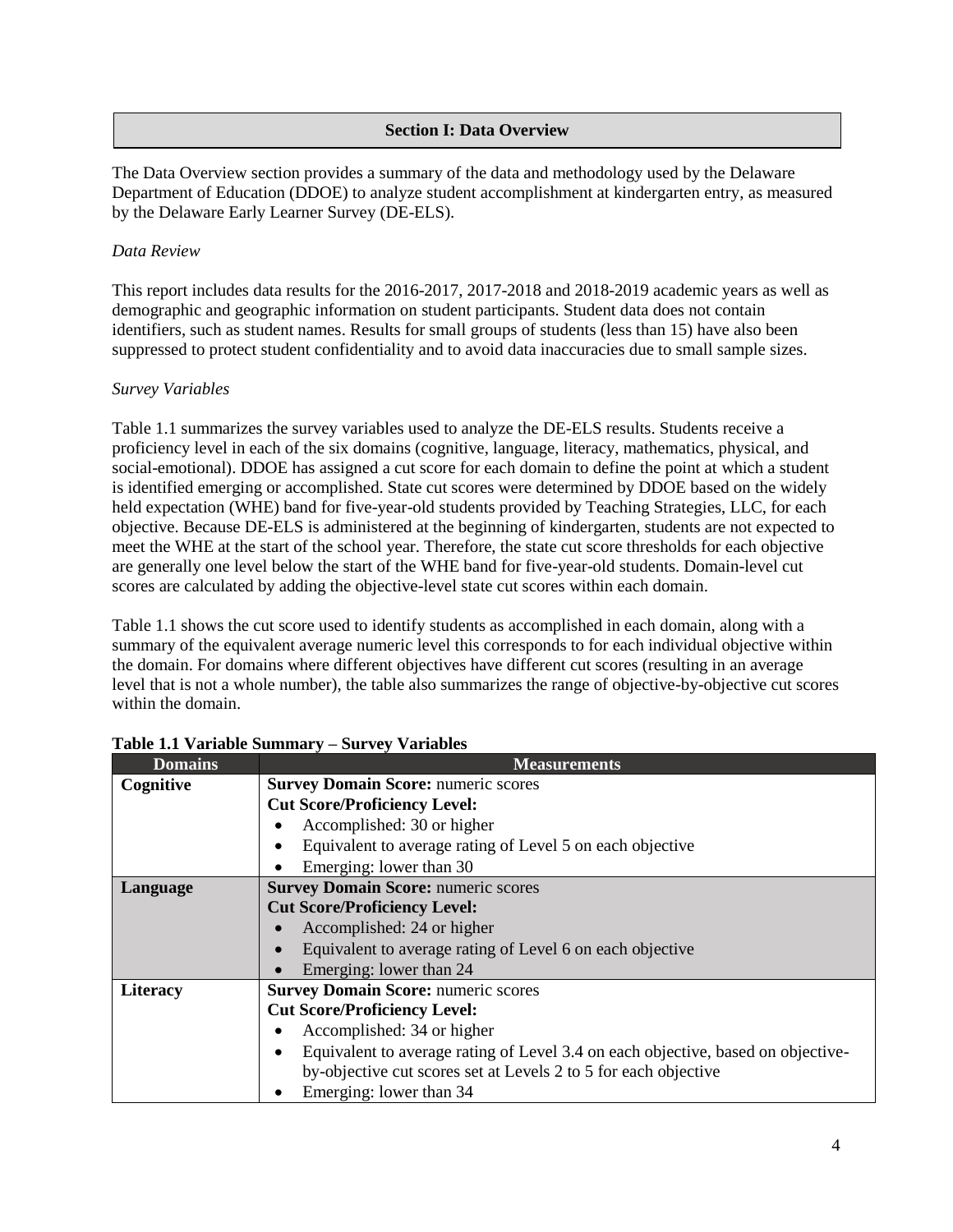#### **Section I: Data Overview**

The Data Overview section provides a summary of the data and methodology used by the Delaware Department of Education (DDOE) to analyze student accomplishment at kindergarten entry, as measured by the Delaware Early Learner Survey (DE-ELS).

#### *Data Review*

This report includes data results for the 2016-2017, 2017-2018 and 2018-2019 academic years as well as demographic and geographic information on student participants. Student data does not contain identifiers, such as student names. Results for small groups of students (less than 15) have also been suppressed to protect student confidentiality and to avoid data inaccuracies due to small sample sizes.

#### *Survey Variables*

Table 1.1 summarizes the survey variables used to analyze the DE-ELS results. Students receive a proficiency level in each of the six domains (cognitive, language, literacy, mathematics, physical, and social-emotional). DDOE has assigned a cut score for each domain to define the point at which a student is identified emerging or accomplished. State cut scores were determined by DDOE based on the widely held expectation (WHE) band for five-year-old students provided by Teaching Strategies, LLC, for each objective. Because DE-ELS is administered at the beginning of kindergarten, students are not expected to meet the WHE at the start of the school year. Therefore, the state cut score thresholds for each objective are generally one level below the start of the WHE band for five-year-old students. Domain-level cut scores are calculated by adding the objective-level state cut scores within each domain.

Table 1.1 shows the cut score used to identify students as accomplished in each domain, along with a summary of the equivalent average numeric level this corresponds to for each individual objective within the domain. For domains where different objectives have different cut scores (resulting in an average level that is not a whole number), the table also summarizes the range of objective-by-objective cut scores within the domain.

| <b>Domains</b>  | <b>Measurements</b>                                                                           |  |  |  |  |  |  |  |
|-----------------|-----------------------------------------------------------------------------------------------|--|--|--|--|--|--|--|
| Cognitive       | <b>Survey Domain Score: numeric scores</b>                                                    |  |  |  |  |  |  |  |
|                 | <b>Cut Score/Proficiency Level:</b>                                                           |  |  |  |  |  |  |  |
|                 | Accomplished: 30 or higher                                                                    |  |  |  |  |  |  |  |
|                 | Equivalent to average rating of Level 5 on each objective<br>٠                                |  |  |  |  |  |  |  |
|                 | Emerging: lower than 30<br>$\bullet$                                                          |  |  |  |  |  |  |  |
| Language        | <b>Survey Domain Score: numeric scores</b>                                                    |  |  |  |  |  |  |  |
|                 | <b>Cut Score/Proficiency Level:</b>                                                           |  |  |  |  |  |  |  |
|                 | Accomplished: 24 or higher                                                                    |  |  |  |  |  |  |  |
|                 | Equivalent to average rating of Level 6 on each objective<br>$\bullet$                        |  |  |  |  |  |  |  |
|                 | Emerging: lower than 24<br>$\bullet$                                                          |  |  |  |  |  |  |  |
| <b>Literacy</b> | <b>Survey Domain Score: numeric scores</b>                                                    |  |  |  |  |  |  |  |
|                 | <b>Cut Score/Proficiency Level:</b>                                                           |  |  |  |  |  |  |  |
|                 | Accomplished: 34 or higher<br>٠                                                               |  |  |  |  |  |  |  |
|                 | Equivalent to average rating of Level 3.4 on each objective, based on objective-<br>$\bullet$ |  |  |  |  |  |  |  |
|                 | by-objective cut scores set at Levels 2 to 5 for each objective                               |  |  |  |  |  |  |  |
|                 | Emerging: lower than 34                                                                       |  |  |  |  |  |  |  |

**Table 1.1 Variable Summary – Survey Variables**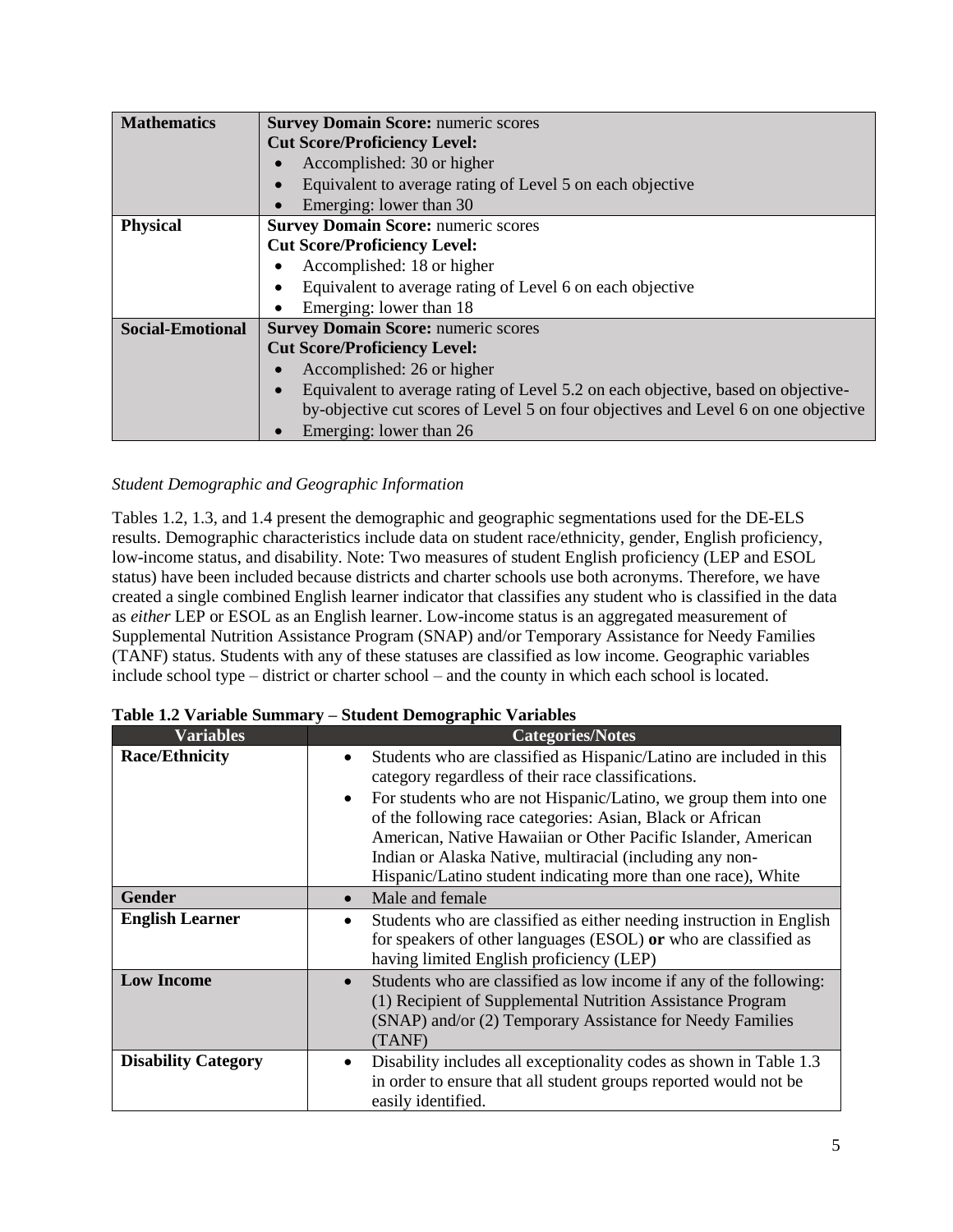| <b>Mathematics</b>      | <b>Survey Domain Score: numeric scores</b>                                                    |  |  |  |  |  |  |  |  |
|-------------------------|-----------------------------------------------------------------------------------------------|--|--|--|--|--|--|--|--|
|                         | <b>Cut Score/Proficiency Level:</b>                                                           |  |  |  |  |  |  |  |  |
|                         | Accomplished: 30 or higher                                                                    |  |  |  |  |  |  |  |  |
|                         | Equivalent to average rating of Level 5 on each objective<br>$\bullet$                        |  |  |  |  |  |  |  |  |
|                         | Emerging: lower than 30                                                                       |  |  |  |  |  |  |  |  |
| <b>Physical</b>         | <b>Survey Domain Score: numeric scores</b>                                                    |  |  |  |  |  |  |  |  |
|                         | <b>Cut Score/Proficiency Level:</b>                                                           |  |  |  |  |  |  |  |  |
|                         | Accomplished: 18 or higher                                                                    |  |  |  |  |  |  |  |  |
|                         | Equivalent to average rating of Level 6 on each objective<br>$\bullet$                        |  |  |  |  |  |  |  |  |
|                         | Emerging: lower than 18                                                                       |  |  |  |  |  |  |  |  |
| <b>Social-Emotional</b> | <b>Survey Domain Score: numeric scores</b>                                                    |  |  |  |  |  |  |  |  |
|                         | <b>Cut Score/Proficiency Level:</b>                                                           |  |  |  |  |  |  |  |  |
|                         | Accomplished: 26 or higher                                                                    |  |  |  |  |  |  |  |  |
|                         | Equivalent to average rating of Level 5.2 on each objective, based on objective-<br>$\bullet$ |  |  |  |  |  |  |  |  |
|                         | by-objective cut scores of Level 5 on four objectives and Level 6 on one objective            |  |  |  |  |  |  |  |  |
|                         | Emerging: lower than 26<br>$\bullet$                                                          |  |  |  |  |  |  |  |  |

# *Student Demographic and Geographic Information*

Tables 1.2, 1.3, and 1.4 present the demographic and geographic segmentations used for the DE-ELS results. Demographic characteristics include data on student race/ethnicity, gender, English proficiency, low-income status, and disability. Note: Two measures of student English proficiency (LEP and ESOL status) have been included because districts and charter schools use both acronyms. Therefore, we have created a single combined English learner indicator that classifies any student who is classified in the data as *either* LEP or ESOL as an English learner. Low-income status is an aggregated measurement of Supplemental Nutrition Assistance Program (SNAP) and/or Temporary Assistance for Needy Families (TANF) status. Students with any of these statuses are classified as low income. Geographic variables include school type – district or charter school – and the county in which each school is located.

| <b>Variables</b>           | <b>Categories/Notes</b>                                                                                                                                                                                                                                                                                                                                                                                                                                               |
|----------------------------|-----------------------------------------------------------------------------------------------------------------------------------------------------------------------------------------------------------------------------------------------------------------------------------------------------------------------------------------------------------------------------------------------------------------------------------------------------------------------|
| <b>Race/Ethnicity</b>      | Students who are classified as Hispanic/Latino are included in this<br>category regardless of their race classifications.<br>For students who are not Hispanic/Latino, we group them into one<br>$\bullet$<br>of the following race categories: Asian, Black or African<br>American, Native Hawaiian or Other Pacific Islander, American<br>Indian or Alaska Native, multiracial (including any non-<br>Hispanic/Latino student indicating more than one race), White |
| <b>Gender</b>              | Male and female<br>$\bullet$                                                                                                                                                                                                                                                                                                                                                                                                                                          |
| <b>English Learner</b>     | Students who are classified as either needing instruction in English<br>٠<br>for speakers of other languages (ESOL) or who are classified as<br>having limited English proficiency (LEP)                                                                                                                                                                                                                                                                              |
| <b>Low Income</b>          | Students who are classified as low income if any of the following:<br>$\bullet$<br>(1) Recipient of Supplemental Nutrition Assistance Program<br>(SNAP) and/or (2) Temporary Assistance for Needy Families<br>(TANF)                                                                                                                                                                                                                                                  |
| <b>Disability Category</b> | Disability includes all exceptionality codes as shown in Table 1.3<br>$\bullet$<br>in order to ensure that all student groups reported would not be<br>easily identified.                                                                                                                                                                                                                                                                                             |

**Table 1.2 Variable Summary – Student Demographic Variables**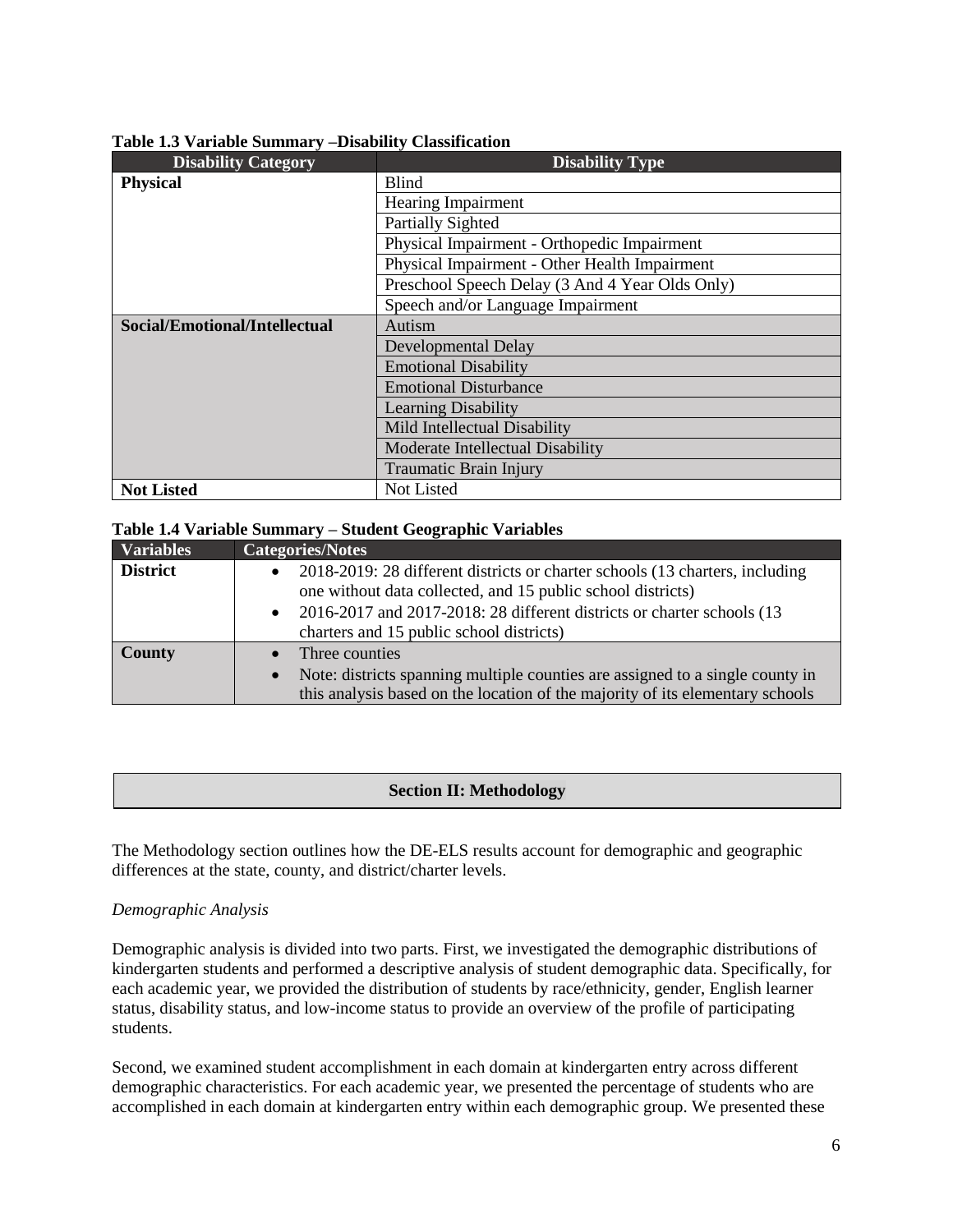| <b>Disability Category</b>    | <b>Disability Type</b>                          |  |  |  |  |  |
|-------------------------------|-------------------------------------------------|--|--|--|--|--|
| <b>Physical</b>               | <b>Blind</b>                                    |  |  |  |  |  |
|                               | Hearing Impairment                              |  |  |  |  |  |
|                               | Partially Sighted                               |  |  |  |  |  |
|                               | Physical Impairment - Orthopedic Impairment     |  |  |  |  |  |
|                               | Physical Impairment - Other Health Impairment   |  |  |  |  |  |
|                               | Preschool Speech Delay (3 And 4 Year Olds Only) |  |  |  |  |  |
|                               | Speech and/or Language Impairment               |  |  |  |  |  |
| Social/Emotional/Intellectual | Autism                                          |  |  |  |  |  |
|                               | Developmental Delay                             |  |  |  |  |  |
|                               | <b>Emotional Disability</b>                     |  |  |  |  |  |
|                               | <b>Emotional Disturbance</b>                    |  |  |  |  |  |
|                               | <b>Learning Disability</b>                      |  |  |  |  |  |
|                               | Mild Intellectual Disability                    |  |  |  |  |  |
|                               | Moderate Intellectual Disability                |  |  |  |  |  |
|                               | <b>Traumatic Brain Injury</b>                   |  |  |  |  |  |
| <b>Not Listed</b>             | Not Listed                                      |  |  |  |  |  |

#### **Table 1.3 Variable Summary –Disability Classification**

#### **Table 1.4 Variable Summary – Student Geographic Variables**

| <b>Variables</b> | <b>Categories/Notes</b>                                                                                                                                                                                                                                                                      |
|------------------|----------------------------------------------------------------------------------------------------------------------------------------------------------------------------------------------------------------------------------------------------------------------------------------------|
| <b>District</b>  | 2018-2019: 28 different districts or charter schools (13 charters, including<br>$\bullet$<br>one without data collected, and 15 public school districts)<br>2016-2017 and 2017-2018: 28 different districts or charter schools (13)<br>$\bullet$<br>charters and 15 public school districts) |
| County           | Three counties<br>Note: districts spanning multiple counties are assigned to a single county in<br>$\bullet$<br>this analysis based on the location of the majority of its elementary schools                                                                                                |

# **Section II: Methodology**

The Methodology section outlines how the DE-ELS results account for demographic and geographic differences at the state, county, and district/charter levels.

#### *Demographic Analysis*

Demographic analysis is divided into two parts. First, we investigated the demographic distributions of kindergarten students and performed a descriptive analysis of student demographic data. Specifically, for each academic year, we provided the distribution of students by race/ethnicity, gender, English learner status, disability status, and low-income status to provide an overview of the profile of participating students.

Second, we examined student accomplishment in each domain at kindergarten entry across different demographic characteristics. For each academic year, we presented the percentage of students who are accomplished in each domain at kindergarten entry within each demographic group. We presented these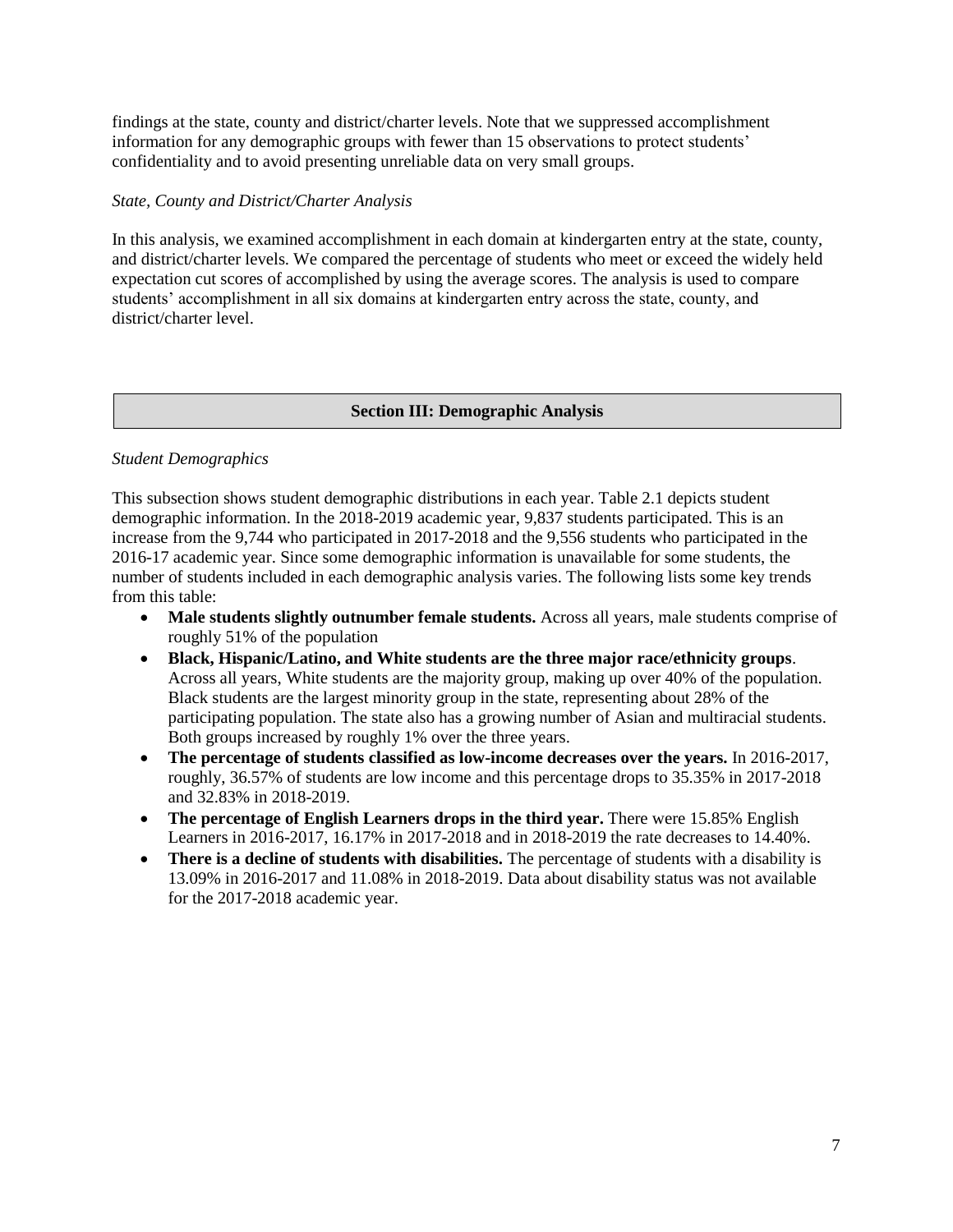findings at the state, county and district/charter levels. Note that we suppressed accomplishment information for any demographic groups with fewer than 15 observations to protect students' confidentiality and to avoid presenting unreliable data on very small groups.

#### *State, County and District/Charter Analysis*

In this analysis, we examined accomplishment in each domain at kindergarten entry at the state, county, and district/charter levels. We compared the percentage of students who meet or exceed the widely held expectation cut scores of accomplished by using the average scores. The analysis is used to compare students' accomplishment in all six domains at kindergarten entry across the state, county, and district/charter level.

#### **Section III: Demographic Analysis**

#### *Student Demographics*

This subsection shows student demographic distributions in each year. Table 2.1 depicts student demographic information. In the 2018-2019 academic year, 9,837 students participated. This is an increase from the 9,744 who participated in 2017-2018 and the 9,556 students who participated in the 2016-17 academic year. Since some demographic information is unavailable for some students, the number of students included in each demographic analysis varies. The following lists some key trends from this table:

- Male students slightly outnumber female students. Across all years, male students comprise of roughly 51% of the population
- **Black, Hispanic/Latino, and White students are the three major race/ethnicity groups**. Across all years, White students are the majority group, making up over 40% of the population. Black students are the largest minority group in the state, representing about 28% of the participating population. The state also has a growing number of Asian and multiracial students. Both groups increased by roughly 1% over the three years.
- **The percentage of students classified as low-income decreases over the years.** In 2016-2017, roughly, 36.57% of students are low income and this percentage drops to 35.35% in 2017-2018 and 32.83% in 2018-2019.
- **The percentage of English Learners drops in the third year.** There were 15.85% English Learners in 2016-2017, 16.17% in 2017-2018 and in 2018-2019 the rate decreases to 14.40%.
- **There is a decline of students with disabilities.** The percentage of students with a disability is 13.09% in 2016-2017 and 11.08% in 2018-2019. Data about disability status was not available for the 2017-2018 academic year.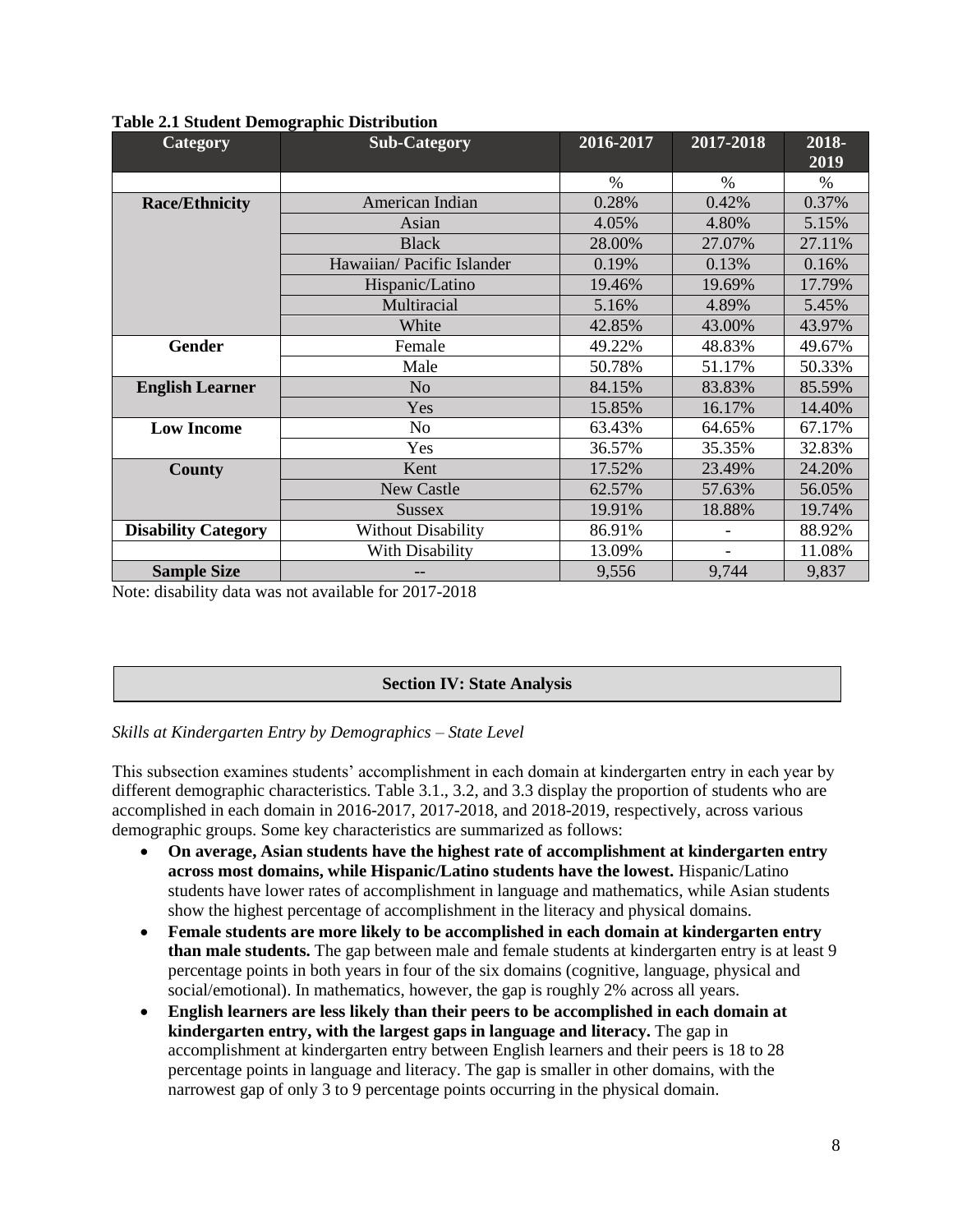| Category                   | 87 T<br><b>Sub-Category</b> | 2016-2017 | 2017-2018 | 2018-<br>2019 |
|----------------------------|-----------------------------|-----------|-----------|---------------|
|                            |                             | $\%$      | $\%$      | $\%$          |
| <b>Race/Ethnicity</b>      | American Indian             | 0.28%     | 0.42%     | 0.37%         |
|                            | Asian                       | 4.05%     | 4.80%     | 5.15%         |
|                            | <b>Black</b>                | 28.00%    | 27.07%    | 27.11%        |
|                            | Hawaiian/ Pacific Islander  | 0.19%     | 0.13%     | 0.16%         |
|                            | Hispanic/Latino             | 19.46%    | 19.69%    | 17.79%        |
|                            | Multiracial                 | 5.16%     | 4.89%     | 5.45%         |
|                            | White                       | 42.85%    | 43.00%    | 43.97%        |
| <b>Gender</b>              | Female                      | 49.22%    | 48.83%    | 49.67%        |
|                            | Male                        | 50.78%    | 51.17%    | 50.33%        |
| <b>English Learner</b>     | N <sub>o</sub>              | 84.15%    | 83.83%    | 85.59%        |
|                            | Yes                         | 15.85%    | 16.17%    | 14.40%        |
| <b>Low Income</b>          | N <sub>0</sub>              | 63.43%    | 64.65%    | 67.17%        |
|                            | Yes                         | 36.57%    | 35.35%    | 32.83%        |
| County                     | Kent                        | 17.52%    | 23.49%    | 24.20%        |
|                            | <b>New Castle</b>           | 62.57%    | 57.63%    | 56.05%        |
|                            | <b>Sussex</b>               | 19.91%    | 18.88%    | 19.74%        |
| <b>Disability Category</b> | <b>Without Disability</b>   | 86.91%    |           | 88.92%        |
|                            | With Disability             | 13.09%    |           | 11.08%        |
| <b>Sample Size</b>         |                             | 9,556     | 9,744     | 9,837         |

#### **Table 2.1 Student Demographic Distribution**

Note: disability data was not available for 2017-2018

# **Section IV: State Analysis**

*Skills at Kindergarten Entry by Demographics – State Level*

This subsection examines students' accomplishment in each domain at kindergarten entry in each year by different demographic characteristics. Table 3.1., 3.2, and 3.3 display the proportion of students who are accomplished in each domain in 2016-2017, 2017-2018, and 2018-2019, respectively, across various demographic groups. Some key characteristics are summarized as follows:

- **On average, Asian students have the highest rate of accomplishment at kindergarten entry across most domains, while Hispanic/Latino students have the lowest.** Hispanic/Latino students have lower rates of accomplishment in language and mathematics, while Asian students show the highest percentage of accomplishment in the literacy and physical domains.
- **Female students are more likely to be accomplished in each domain at kindergarten entry than male students.** The gap between male and female students at kindergarten entry is at least 9 percentage points in both years in four of the six domains (cognitive, language, physical and social/emotional). In mathematics, however, the gap is roughly 2% across all years.
- **English learners are less likely than their peers to be accomplished in each domain at kindergarten entry, with the largest gaps in language and literacy.** The gap in accomplishment at kindergarten entry between English learners and their peers is 18 to 28 percentage points in language and literacy. The gap is smaller in other domains, with the narrowest gap of only 3 to 9 percentage points occurring in the physical domain.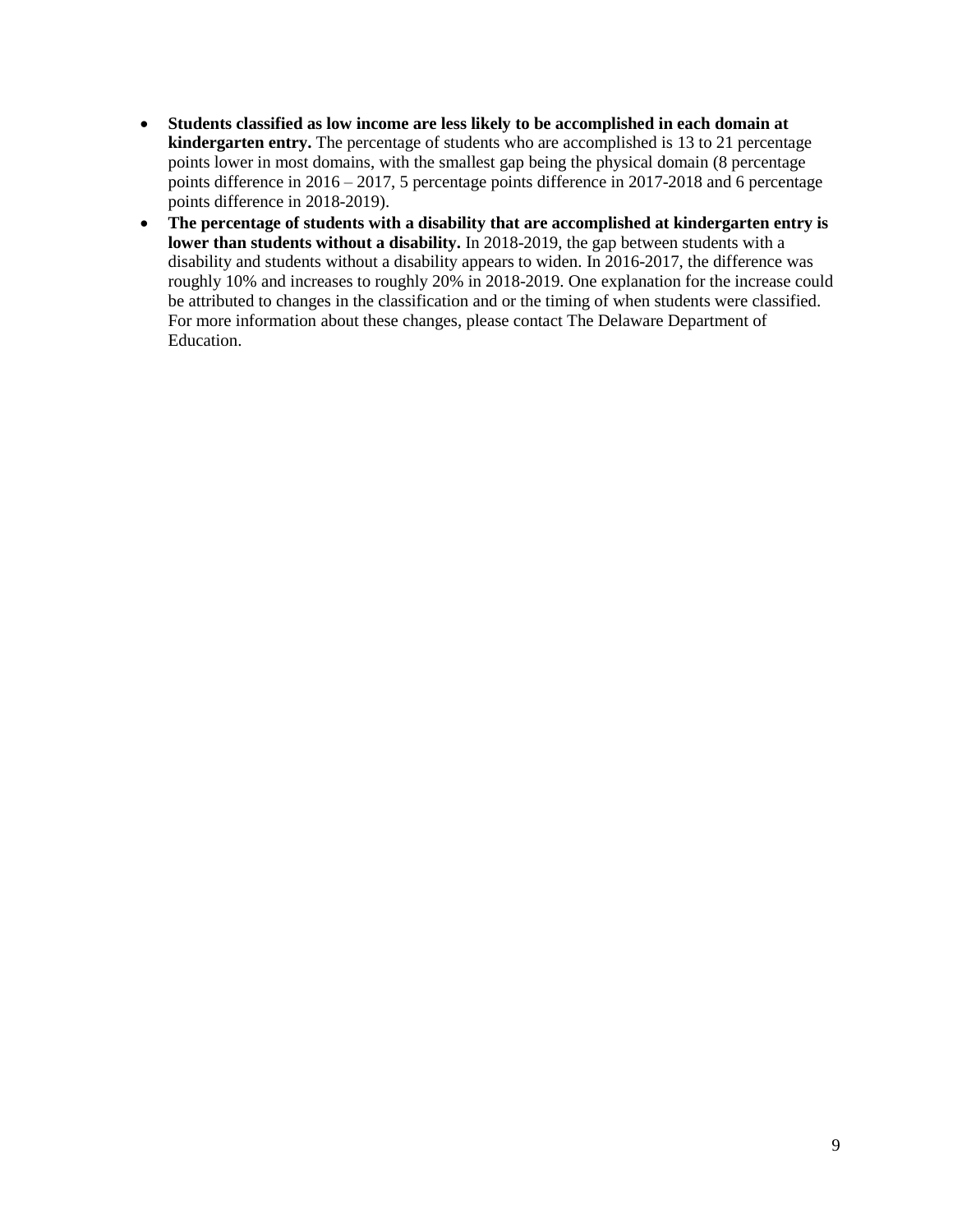- **Students classified as low income are less likely to be accomplished in each domain at kindergarten entry.** The percentage of students who are accomplished is 13 to 21 percentage points lower in most domains, with the smallest gap being the physical domain (8 percentage points difference in 2016 – 2017, 5 percentage points difference in 2017-2018 and 6 percentage points difference in 2018-2019).
- **The percentage of students with a disability that are accomplished at kindergarten entry is lower than students without a disability.** In 2018-2019, the gap between students with a disability and students without a disability appears to widen. In 2016-2017, the difference was roughly 10% and increases to roughly 20% in 2018-2019. One explanation for the increase could be attributed to changes in the classification and or the timing of when students were classified. For more information about these changes, please contact The Delaware Department of Education.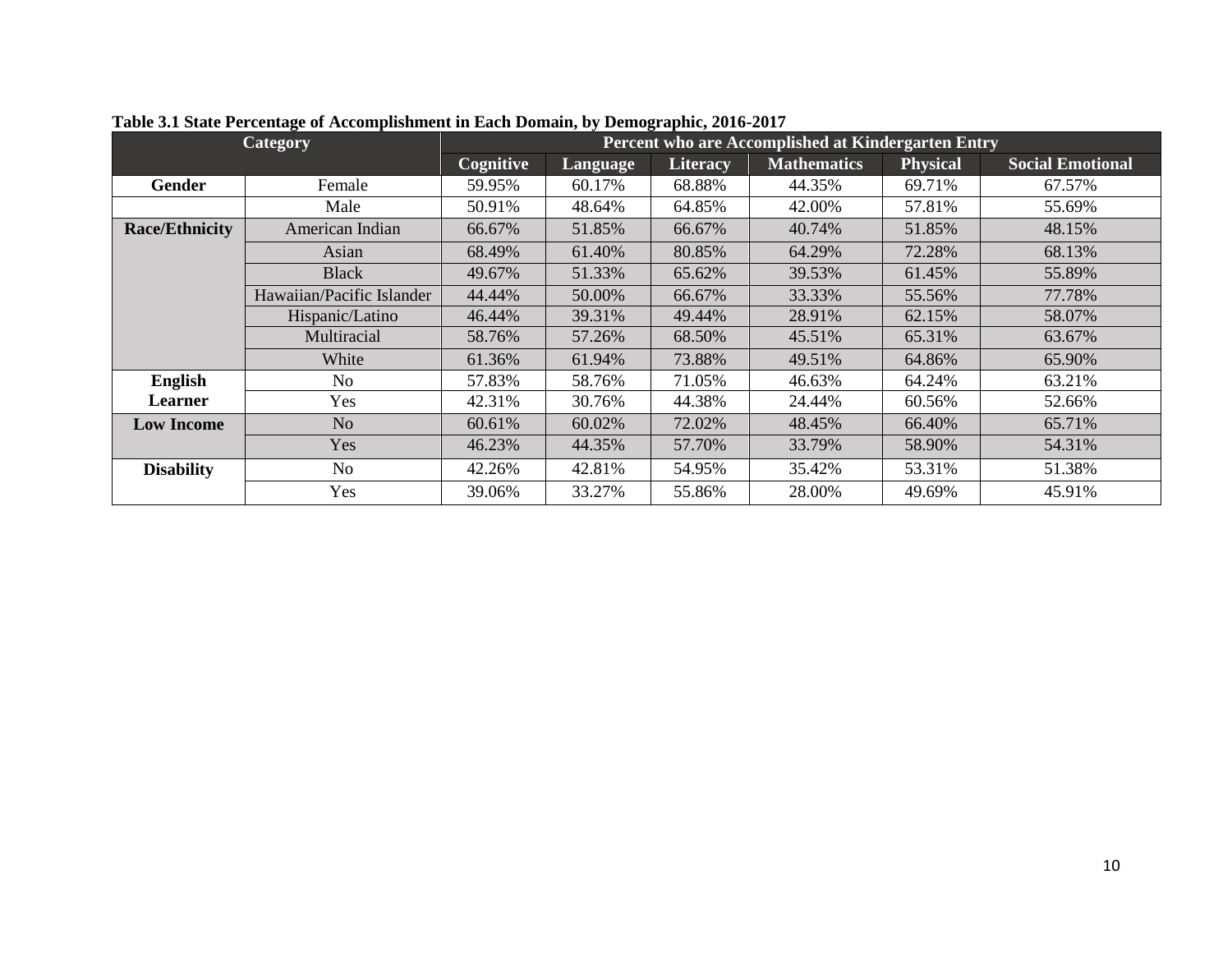| <b>Category</b>       |                           | Percent who are Accomplished at Kindergarten Entry |          |          |                    |                 |                         |  |
|-----------------------|---------------------------|----------------------------------------------------|----------|----------|--------------------|-----------------|-------------------------|--|
|                       |                           | Cognitive                                          | Language | Literacy | <b>Mathematics</b> | <b>Physical</b> | <b>Social Emotional</b> |  |
| Gender                | Female                    | 59.95%                                             | 60.17%   | 68.88%   | 44.35%             | 69.71%          | 67.57%                  |  |
|                       | Male                      | 50.91%                                             | 48.64%   | 64.85%   | 42.00%             | 57.81%          | 55.69%                  |  |
| <b>Race/Ethnicity</b> | American Indian           | 66.67%                                             | 51.85%   | 66.67%   | 40.74%             | 51.85%          | 48.15%                  |  |
|                       | Asian                     | 68.49%                                             | 61.40%   | 80.85%   | 64.29%             | 72.28%          | 68.13%                  |  |
|                       | <b>Black</b>              | 49.67%                                             | 51.33%   | 65.62%   | 39.53%             | 61.45%          | 55.89%                  |  |
|                       | Hawaiian/Pacific Islander | 44.44%                                             | 50.00%   | 66.67%   | 33.33%             | 55.56%          | 77.78%                  |  |
|                       | Hispanic/Latino           | 46.44%                                             | 39.31%   | 49.44%   | 28.91%             | 62.15%          | 58.07%                  |  |
|                       | Multiracial               | 58.76%                                             | 57.26%   | 68.50%   | 45.51%             | 65.31%          | 63.67%                  |  |
|                       | White                     | 61.36%                                             | 61.94%   | 73.88%   | 49.51%             | 64.86%          | 65.90%                  |  |
| English               | No.                       | 57.83%                                             | 58.76%   | 71.05%   | 46.63%             | 64.24%          | 63.21%                  |  |
| Learner               | Yes                       | 42.31%                                             | 30.76%   | 44.38%   | 24.44%             | 60.56%          | 52.66%                  |  |
| <b>Low Income</b>     | N <sub>o</sub>            | 60.61%                                             | 60.02%   | 72.02%   | 48.45%             | 66.40%          | 65.71%                  |  |
|                       | Yes                       | 46.23%                                             | 44.35%   | 57.70%   | 33.79%             | 58.90%          | 54.31%                  |  |
| <b>Disability</b>     | No.                       | 42.26%                                             | 42.81%   | 54.95%   | 35.42%             | 53.31%          | 51.38%                  |  |
|                       | Yes                       | 39.06%                                             | 33.27%   | 55.86%   | 28.00%             | 49.69%          | 45.91%                  |  |

# **Table 3.1 State Percentage of Accomplishment in Each Domain, by Demographic, 2016-2017**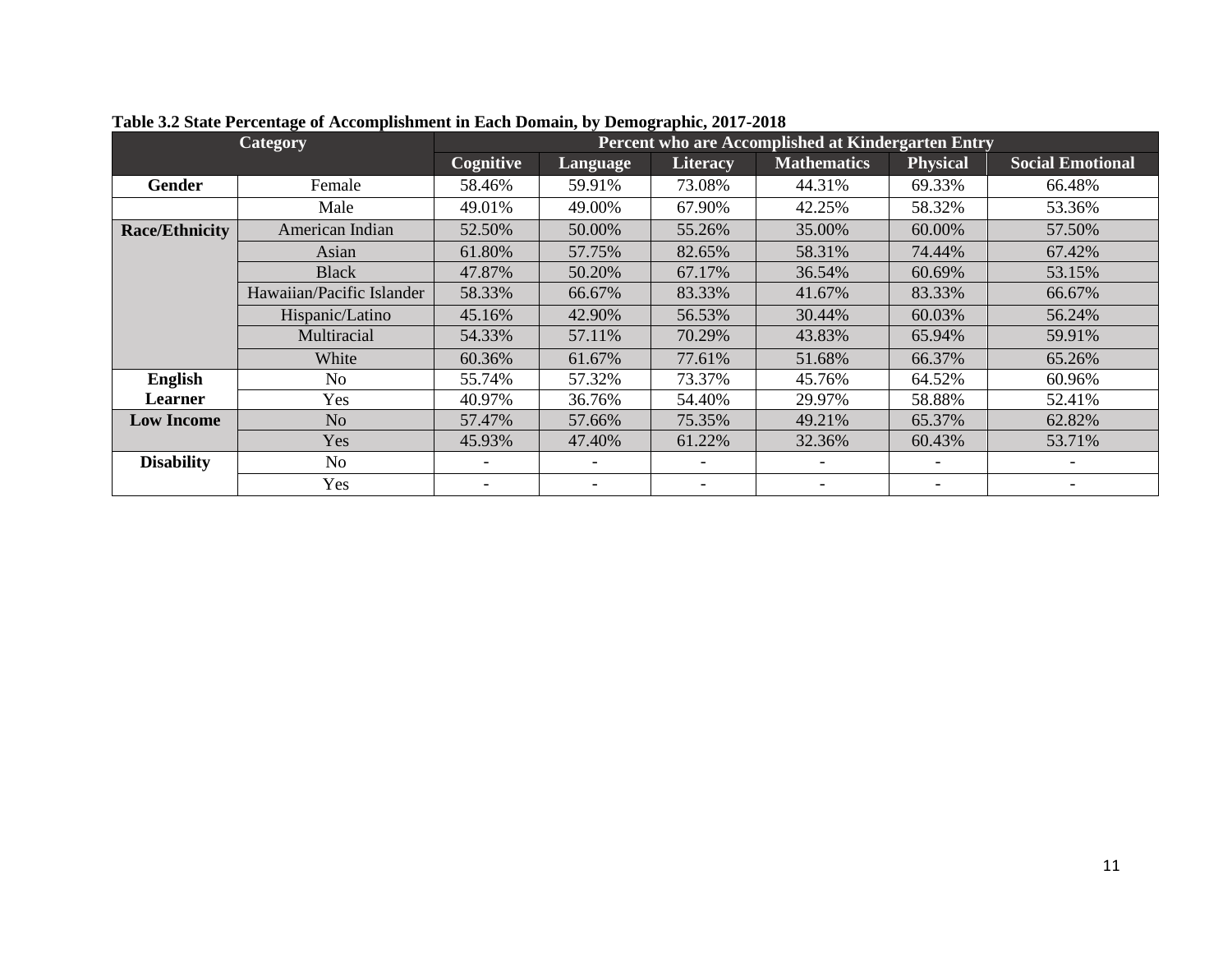| Category              |                           | Percent who are Accomplished at Kindergarten Entry |                          |                          |                          |                 |                         |  |
|-----------------------|---------------------------|----------------------------------------------------|--------------------------|--------------------------|--------------------------|-----------------|-------------------------|--|
|                       |                           | Cognitive                                          | Language                 | Literacy                 | <b>Mathematics</b>       | <b>Physical</b> | <b>Social Emotional</b> |  |
| <b>Gender</b>         | Female                    | 58.46%                                             | 59.91%                   | 73.08%                   | 44.31%                   | 69.33%          | 66.48%                  |  |
|                       | Male                      | 49.01%                                             | 49.00%                   | 67.90%                   | 42.25%                   | 58.32%          | 53.36%                  |  |
| <b>Race/Ethnicity</b> | American Indian           | 52.50%                                             | 50.00%                   | 55.26%                   | 35.00%                   | 60.00%          | 57.50%                  |  |
|                       | Asian                     | 61.80%                                             | 57.75%                   | 82.65%                   | 58.31%                   | 74.44%          | 67.42%                  |  |
|                       | <b>Black</b>              | 47.87%                                             | 50.20%                   | 67.17%                   | 36.54%                   | 60.69%          | 53.15%                  |  |
|                       | Hawaiian/Pacific Islander | 58.33%                                             | 66.67%                   | 83.33%                   | 41.67%                   | 83.33%          | 66.67%                  |  |
|                       | Hispanic/Latino           | 45.16%                                             | 42.90%                   | 56.53%                   | 30.44%                   | 60.03%          | 56.24%                  |  |
|                       | Multiracial               | 54.33%                                             | 57.11%                   | 70.29%                   | 43.83%                   | 65.94%          | 59.91%                  |  |
|                       | White                     | 60.36%                                             | 61.67%                   | 77.61%                   | 51.68%                   | 66.37%          | 65.26%                  |  |
| English               | N <sub>o</sub>            | 55.74%                                             | 57.32%                   | 73.37%                   | 45.76%                   | 64.52%          | 60.96%                  |  |
| Learner               | Yes                       | 40.97%                                             | 36.76%                   | 54.40%                   | 29.97%                   | 58.88%          | 52.41%                  |  |
| <b>Low Income</b>     | N <sub>o</sub>            | 57.47%                                             | 57.66%                   | 75.35%                   | 49.21%                   | 65.37%          | 62.82%                  |  |
|                       | Yes                       | 45.93%                                             | 47.40%                   | 61.22%                   | 32.36%                   | 60.43%          | 53.71%                  |  |
| <b>Disability</b>     | N <sub>o</sub>            | $\overline{\phantom{a}}$                           | -                        | $\overline{\phantom{0}}$ | $\overline{\phantom{0}}$ | $\qquad \qquad$ |                         |  |
|                       | Yes                       | $\overline{\phantom{a}}$                           | $\overline{\phantom{a}}$ | $\overline{\phantom{a}}$ | $\overline{\phantom{0}}$ |                 |                         |  |

# **Table 3.2 State Percentage of Accomplishment in Each Domain, by Demographic, 2017-2018**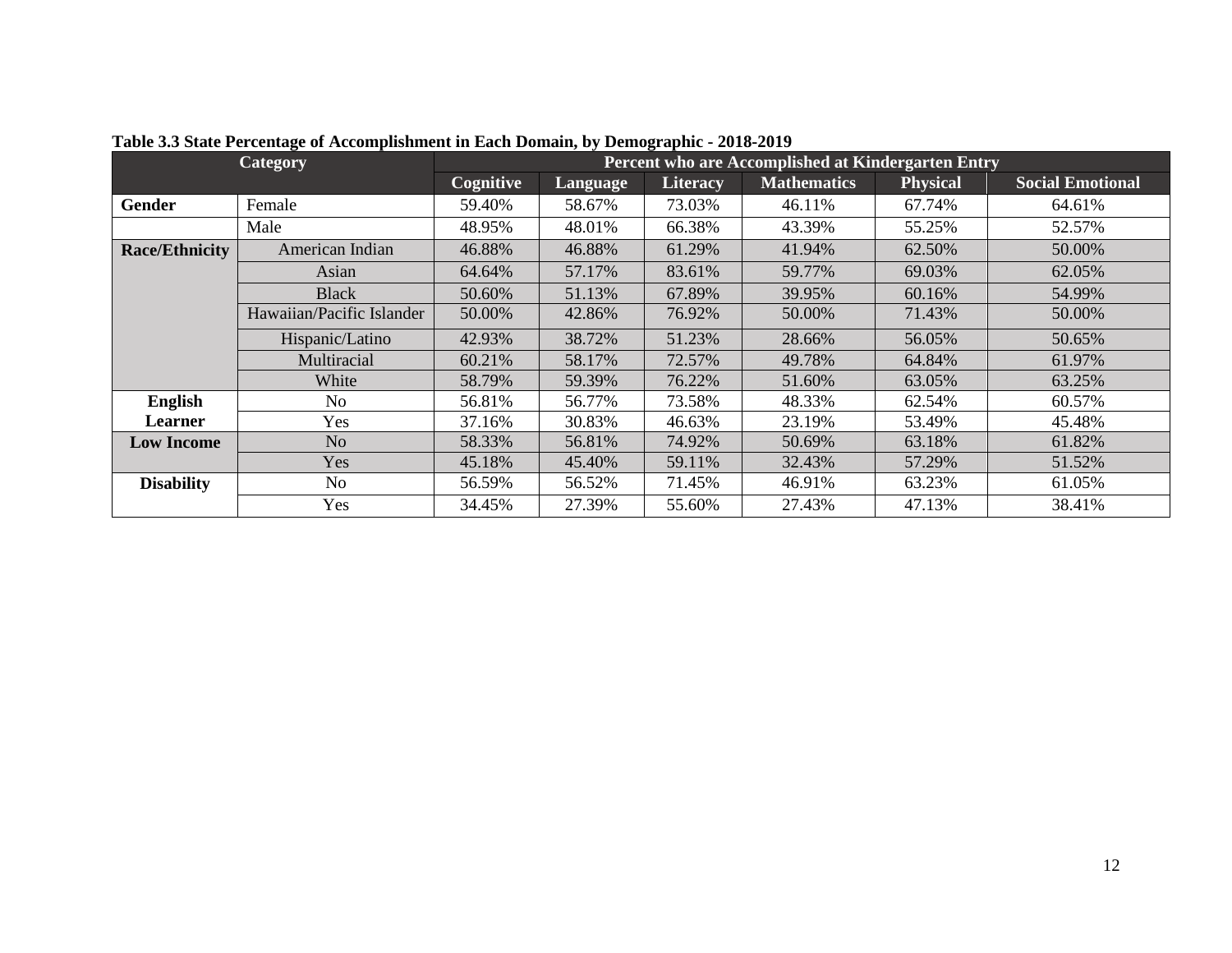|                       | <b>Category</b>           | Percent who are Accomplished at Kindergarten Entry |                 |                 |                    |                 |                         |  |
|-----------------------|---------------------------|----------------------------------------------------|-----------------|-----------------|--------------------|-----------------|-------------------------|--|
|                       |                           | Cognitive                                          | <b>Language</b> | <b>Literacy</b> | <b>Mathematics</b> | <b>Physical</b> | <b>Social Emotional</b> |  |
| Gender                | Female                    | 59.40%                                             | 58.67%          | 73.03%          | 46.11%             | 67.74%          | 64.61%                  |  |
|                       | Male                      | 48.95%                                             | 48.01%          | 66.38%          | 43.39%             | 55.25%          | 52.57%                  |  |
| <b>Race/Ethnicity</b> | American Indian           | 46.88%                                             | 46.88%          | 61.29%          | 41.94%             | 62.50%          | 50.00%                  |  |
|                       | Asian                     | 64.64%                                             | 57.17%          | 83.61%          | 59.77%             | 69.03%          | 62.05%                  |  |
|                       | <b>Black</b>              | 50.60%                                             | 51.13%          | 67.89%          | 39.95%             | 60.16%          | 54.99%                  |  |
|                       | Hawaiian/Pacific Islander | 50.00%                                             | 42.86%          | 76.92%          | 50.00%             | 71.43%          | 50.00%                  |  |
|                       | Hispanic/Latino           | 42.93%                                             | 38.72%          | 51.23%          | 28.66%             | 56.05%          | 50.65%                  |  |
|                       | Multiracial               | 60.21%                                             | 58.17%          | 72.57%          | 49.78%             | 64.84%          | 61.97%                  |  |
|                       | White                     | 58.79%                                             | 59.39%          | 76.22%          | 51.60%             | 63.05%          | 63.25%                  |  |
| English               | No.                       | 56.81%                                             | 56.77%          | 73.58%          | 48.33%             | 62.54%          | 60.57%                  |  |
| <b>Learner</b>        | Yes                       | 37.16%                                             | 30.83%          | 46.63%          | 23.19%             | 53.49%          | 45.48%                  |  |
| <b>Low Income</b>     | N <sub>o</sub>            | 58.33%                                             | 56.81%          | 74.92%          | 50.69%             | 63.18%          | 61.82%                  |  |
|                       | Yes                       | 45.18%                                             | 45.40%          | 59.11%          | 32.43%             | 57.29%          | 51.52%                  |  |
| <b>Disability</b>     | No                        | 56.59%                                             | 56.52%          | 71.45%          | 46.91%             | 63.23%          | 61.05%                  |  |
|                       | Yes                       | 34.45%                                             | 27.39%          | 55.60%          | 27.43%             | 47.13%          | 38.41%                  |  |

# **Table 3.3 State Percentage of Accomplishment in Each Domain, by Demographic - 2018-2019**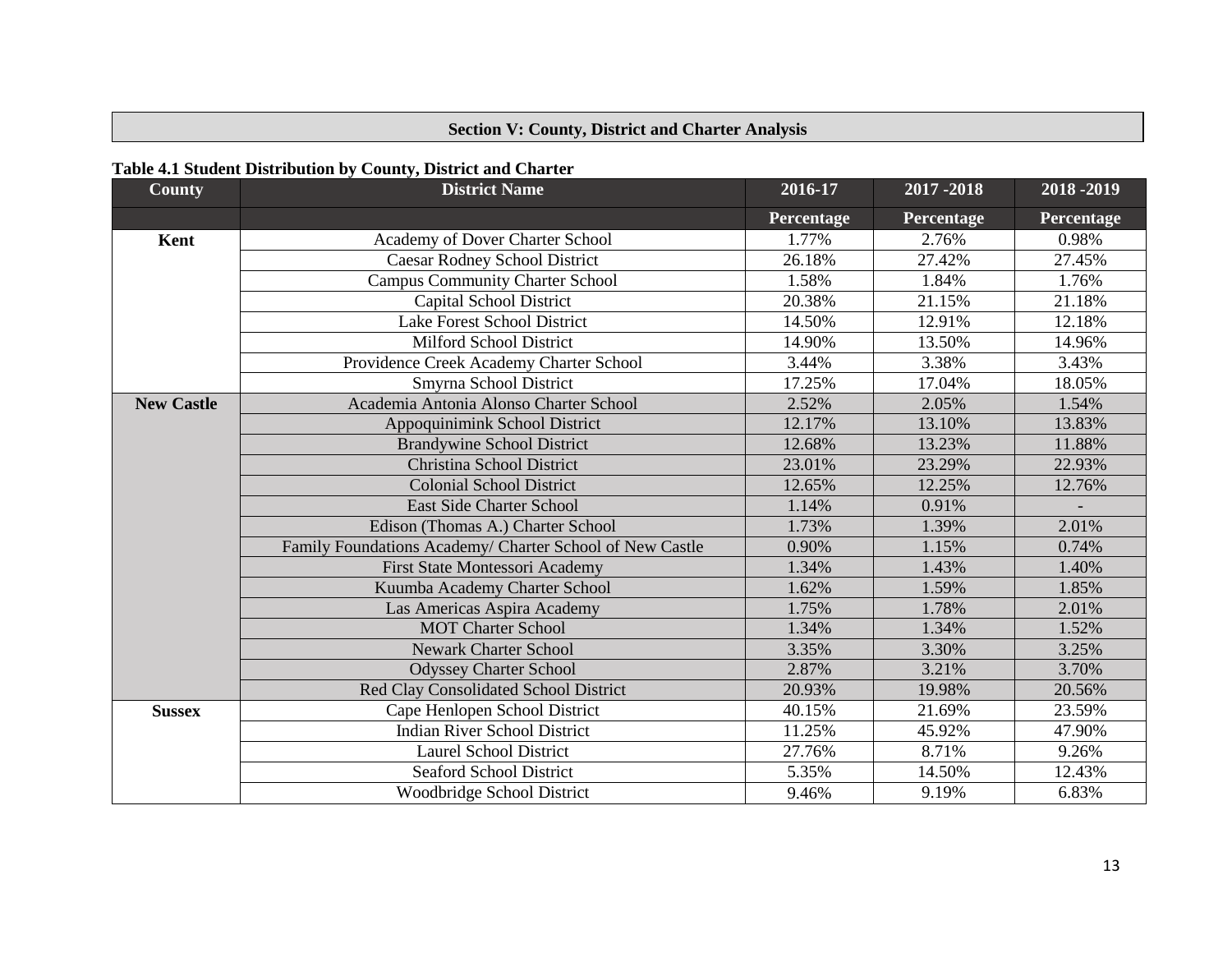# **Section V: County, District and Charter Analysis**

# **Table 4.1 Student Distribution by County, District and Charter**

| <b>County</b>     | <b>District Name</b>                                     | 2016-17    | 2017-2018  | 2018-2019  |
|-------------------|----------------------------------------------------------|------------|------------|------------|
|                   |                                                          | Percentage | Percentage | Percentage |
| Kent              | Academy of Dover Charter School                          | 1.77%      | 2.76%      | 0.98%      |
|                   | <b>Caesar Rodney School District</b>                     | 26.18%     | 27.42%     | 27.45%     |
|                   | <b>Campus Community Charter School</b>                   | 1.58%      | 1.84%      | 1.76%      |
|                   | <b>Capital School District</b>                           | 20.38%     | 21.15%     | 21.18%     |
|                   | Lake Forest School District                              | 14.50%     | 12.91%     | 12.18%     |
|                   | <b>Milford School District</b>                           | 14.90%     | 13.50%     | 14.96%     |
|                   | Providence Creek Academy Charter School                  | 3.44%      | 3.38%      | 3.43%      |
|                   | Smyrna School District                                   | 17.25%     | 17.04%     | 18.05%     |
| <b>New Castle</b> | Academia Antonia Alonso Charter School                   | 2.52%      | 2.05%      | 1.54%      |
|                   | Appoquinimink School District                            | 12.17%     | 13.10%     | 13.83%     |
|                   | <b>Brandywine School District</b>                        | 12.68%     | 13.23%     | 11.88%     |
|                   | Christina School District                                | 23.01%     | 23.29%     | 22.93%     |
|                   | <b>Colonial School District</b>                          | 12.65%     | 12.25%     | 12.76%     |
|                   | <b>East Side Charter School</b>                          | 1.14%      | 0.91%      |            |
|                   | Edison (Thomas A.) Charter School                        | 1.73%      | 1.39%      | 2.01%      |
|                   | Family Foundations Academy/ Charter School of New Castle | 0.90%      | 1.15%      | 0.74%      |
|                   | First State Montessori Academy                           | 1.34%      | 1.43%      | 1.40%      |
|                   | Kuumba Academy Charter School                            | 1.62%      | 1.59%      | 1.85%      |
|                   | Las Americas Aspira Academy                              | 1.75%      | 1.78%      | 2.01%      |
|                   | <b>MOT Charter School</b>                                | 1.34%      | 1.34%      | 1.52%      |
|                   | <b>Newark Charter School</b>                             | 3.35%      | 3.30%      | 3.25%      |
|                   | <b>Odyssey Charter School</b>                            | 2.87%      | 3.21%      | 3.70%      |
|                   | Red Clay Consolidated School District                    | 20.93%     | 19.98%     | 20.56%     |
| <b>Sussex</b>     | Cape Henlopen School District                            | 40.15%     | 21.69%     | 23.59%     |
|                   | <b>Indian River School District</b>                      | 11.25%     | 45.92%     | 47.90%     |
|                   | <b>Laurel School District</b>                            | 27.76%     | 8.71%      | 9.26%      |
|                   | <b>Seaford School District</b>                           | 5.35%      | 14.50%     | 12.43%     |
|                   | Woodbridge School District                               | 9.46%      | 9.19%      | 6.83%      |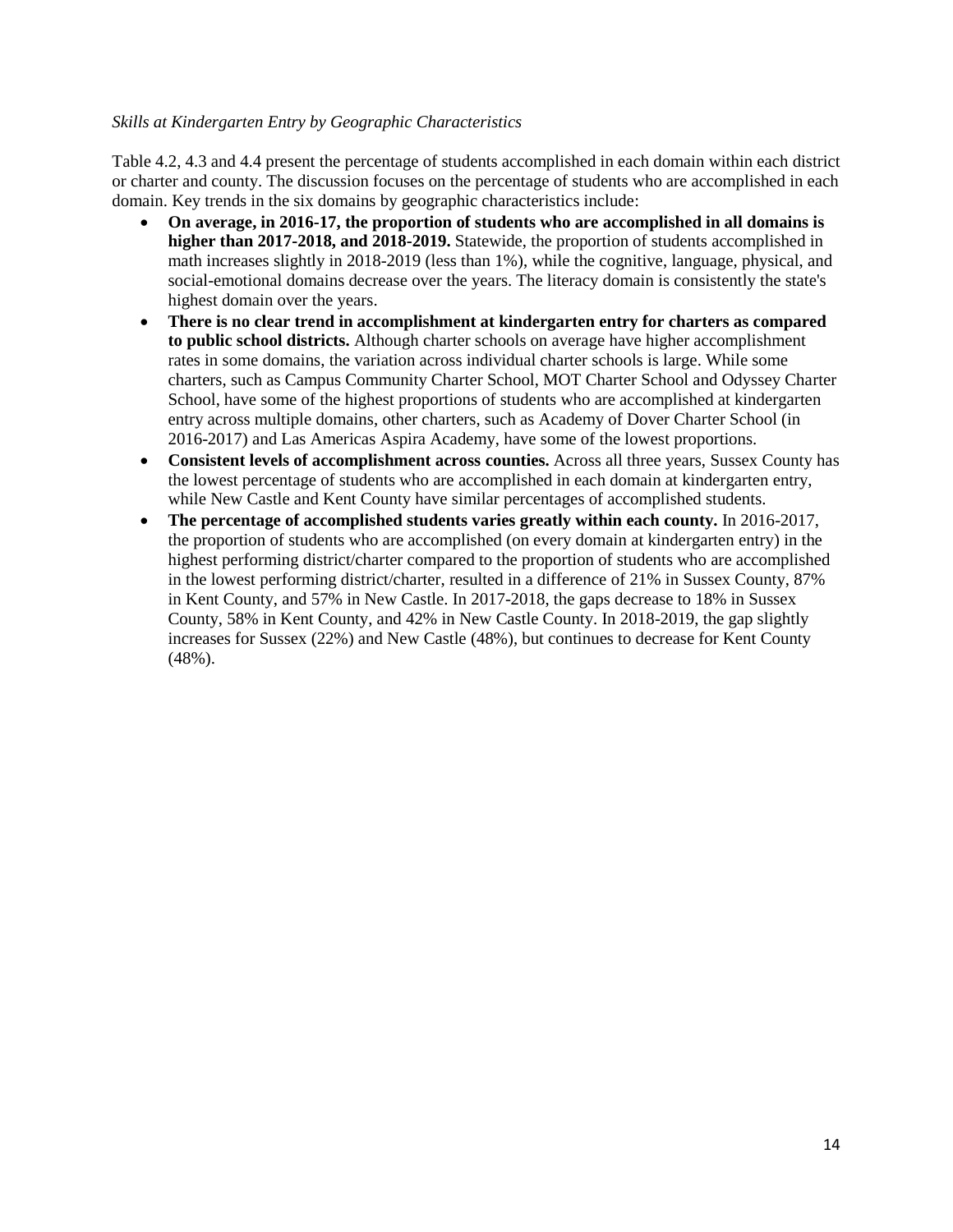#### *Skills at Kindergarten Entry by Geographic Characteristics*

Table 4.2, 4.3 and 4.4 present the percentage of students accomplished in each domain within each district or charter and county. The discussion focuses on the percentage of students who are accomplished in each domain. Key trends in the six domains by geographic characteristics include:

- **On average, in 2016-17, the proportion of students who are accomplished in all domains is higher than 2017-2018, and 2018-2019.** Statewide, the proportion of students accomplished in math increases slightly in 2018-2019 (less than 1%), while the cognitive, language, physical, and social-emotional domains decrease over the years. The literacy domain is consistently the state's highest domain over the years.
- **There is no clear trend in accomplishment at kindergarten entry for charters as compared to public school districts.** Although charter schools on average have higher accomplishment rates in some domains, the variation across individual charter schools is large. While some charters, such as Campus Community Charter School, MOT Charter School and Odyssey Charter School, have some of the highest proportions of students who are accomplished at kindergarten entry across multiple domains, other charters, such as Academy of Dover Charter School (in 2016-2017) and Las Americas Aspira Academy, have some of the lowest proportions.
- **Consistent levels of accomplishment across counties.** Across all three years, Sussex County has the lowest percentage of students who are accomplished in each domain at kindergarten entry, while New Castle and Kent County have similar percentages of accomplished students.
- **The percentage of accomplished students varies greatly within each county.** In 2016-2017, the proportion of students who are accomplished (on every domain at kindergarten entry) in the highest performing district/charter compared to the proportion of students who are accomplished in the lowest performing district/charter, resulted in a difference of 21% in Sussex County, 87% in Kent County, and 57% in New Castle. In 2017-2018, the gaps decrease to 18% in Sussex County, 58% in Kent County, and 42% in New Castle County. In 2018-2019, the gap slightly increases for Sussex (22%) and New Castle (48%), but continues to decrease for Kent County (48%).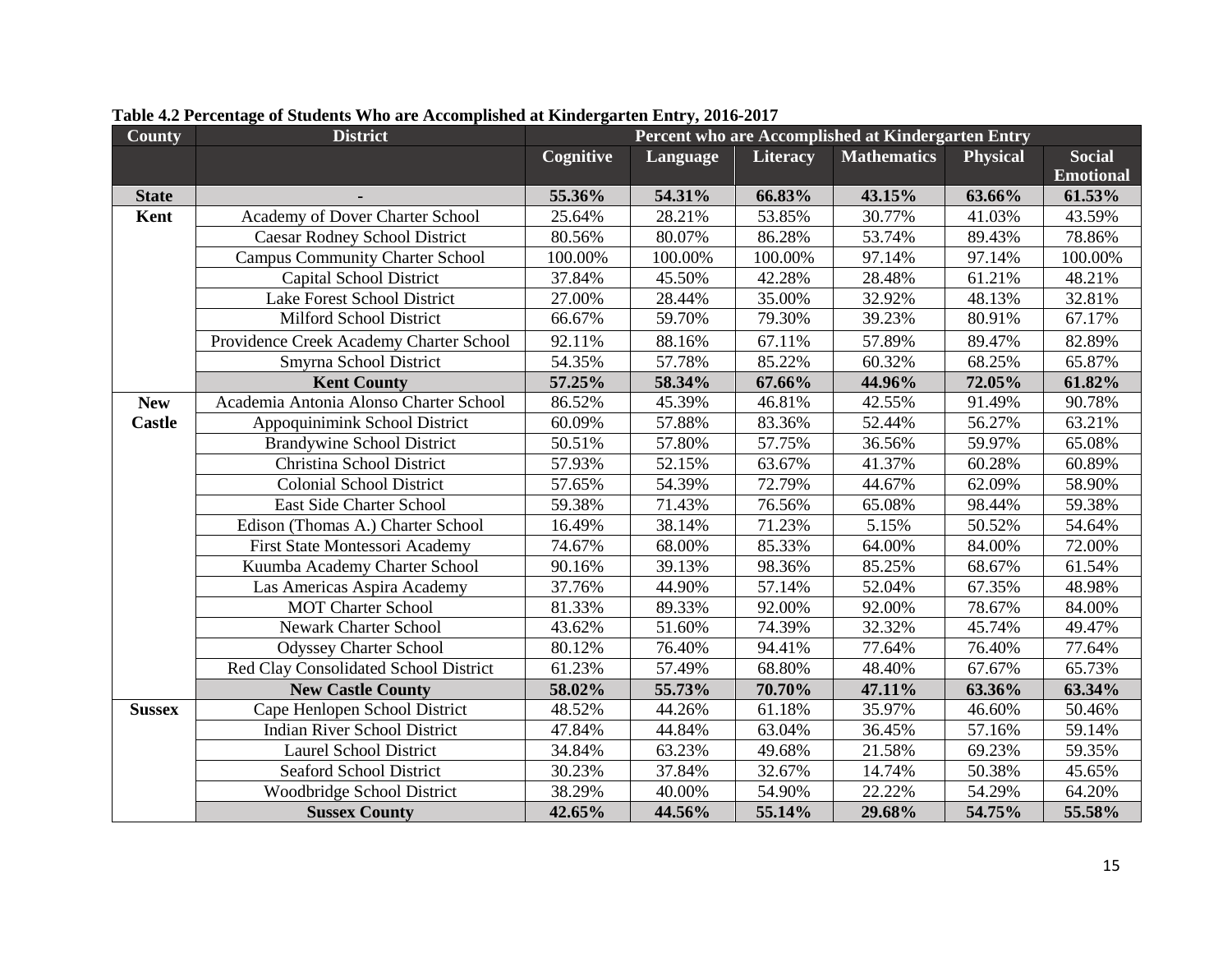| County        | <b>District</b>                         |           |          |                 | Percent who are Accomplished at Kindergarten Entry |                 |                                   |
|---------------|-----------------------------------------|-----------|----------|-----------------|----------------------------------------------------|-----------------|-----------------------------------|
|               |                                         | Cognitive | Language | <b>Literacy</b> | <b>Mathematics</b>                                 | <b>Physical</b> | <b>Social</b><br><b>Emotional</b> |
| <b>State</b>  |                                         | 55.36%    | 54.31%   | 66.83%          | 43.15%                                             | 63.66%          | 61.53%                            |
| Kent          | Academy of Dover Charter School         | 25.64%    | 28.21%   | 53.85%          | 30.77%                                             | 41.03%          | 43.59%                            |
|               | <b>Caesar Rodney School District</b>    | 80.56%    | 80.07%   | 86.28%          | 53.74%                                             | 89.43%          | 78.86%                            |
|               | <b>Campus Community Charter School</b>  | 100.00%   | 100.00%  | 100.00%         | 97.14%                                             | 97.14%          | 100.00%                           |
|               | Capital School District                 | 37.84%    | 45.50%   | 42.28%          | 28.48%                                             | 61.21%          | 48.21%                            |
|               | Lake Forest School District             | 27.00%    | 28.44%   | 35.00%          | 32.92%                                             | 48.13%          | 32.81%                            |
|               | <b>Milford School District</b>          | 66.67%    | 59.70%   | 79.30%          | 39.23%                                             | 80.91%          | 67.17%                            |
|               | Providence Creek Academy Charter School | 92.11%    | 88.16%   | 67.11%          | 57.89%                                             | 89.47%          | 82.89%                            |
|               | Smyrna School District                  | 54.35%    | 57.78%   | 85.22%          | 60.32%                                             | 68.25%          | 65.87%                            |
|               | <b>Kent County</b>                      | 57.25%    | 58.34%   | 67.66%          | 44.96%                                             | 72.05%          | 61.82%                            |
| <b>New</b>    | Academia Antonia Alonso Charter School  | 86.52%    | 45.39%   | 46.81%          | 42.55%                                             | 91.49%          | 90.78%                            |
| <b>Castle</b> | Appoquinimink School District           | 60.09%    | 57.88%   | 83.36%          | 52.44%                                             | 56.27%          | 63.21%                            |
|               | <b>Brandywine School District</b>       | 50.51%    | 57.80%   | 57.75%          | 36.56%                                             | 59.97%          | 65.08%                            |
|               | Christina School District               | 57.93%    | 52.15%   | 63.67%          | 41.37%                                             | 60.28%          | 60.89%                            |
|               | <b>Colonial School District</b>         | 57.65%    | 54.39%   | 72.79%          | 44.67%                                             | 62.09%          | 58.90%                            |
|               | East Side Charter School                | 59.38%    | 71.43%   | 76.56%          | 65.08%                                             | 98.44%          | 59.38%                            |
|               | Edison (Thomas A.) Charter School       | 16.49%    | 38.14%   | 71.23%          | 5.15%                                              | 50.52%          | 54.64%                            |
|               | First State Montessori Academy          | 74.67%    | 68.00%   | 85.33%          | 64.00%                                             | 84.00%          | 72.00%                            |
|               | Kuumba Academy Charter School           | 90.16%    | 39.13%   | 98.36%          | 85.25%                                             | 68.67%          | 61.54%                            |
|               | Las Americas Aspira Academy             | 37.76%    | 44.90%   | 57.14%          | 52.04%                                             | 67.35%          | 48.98%                            |
|               | <b>MOT Charter School</b>               | 81.33%    | 89.33%   | 92.00%          | 92.00%                                             | 78.67%          | 84.00%                            |
|               | <b>Newark Charter School</b>            | 43.62%    | 51.60%   | 74.39%          | 32.32%                                             | 45.74%          | 49.47%                            |
|               | <b>Odyssey Charter School</b>           | 80.12%    | 76.40%   | 94.41%          | 77.64%                                             | 76.40%          | 77.64%                            |
|               | Red Clay Consolidated School District   | 61.23%    | 57.49%   | 68.80%          | 48.40%                                             | 67.67%          | 65.73%                            |
|               | <b>New Castle County</b>                | 58.02%    | 55.73%   | 70.70%          | 47.11%                                             | 63.36%          | 63.34%                            |
| <b>Sussex</b> | Cape Henlopen School District           | 48.52%    | 44.26%   | 61.18%          | 35.97%                                             | 46.60%          | 50.46%                            |
|               | <b>Indian River School District</b>     | 47.84%    | 44.84%   | 63.04%          | 36.45%                                             | 57.16%          | 59.14%                            |
|               | <b>Laurel School District</b>           | 34.84%    | 63.23%   | 49.68%          | 21.58%                                             | 69.23%          | 59.35%                            |
|               | Seaford School District                 | 30.23%    | 37.84%   | 32.67%          | 14.74%                                             | 50.38%          | 45.65%                            |
|               | Woodbridge School District              | 38.29%    | 40.00%   | 54.90%          | 22.22%                                             | 54.29%          | 64.20%                            |
|               | <b>Sussex County</b>                    | 42.65%    | 44.56%   | 55.14%          | 29.68%                                             | 54.75%          | 55.58%                            |

**Table 4.2 Percentage of Students Who are Accomplished at Kindergarten Entry, 2016-2017**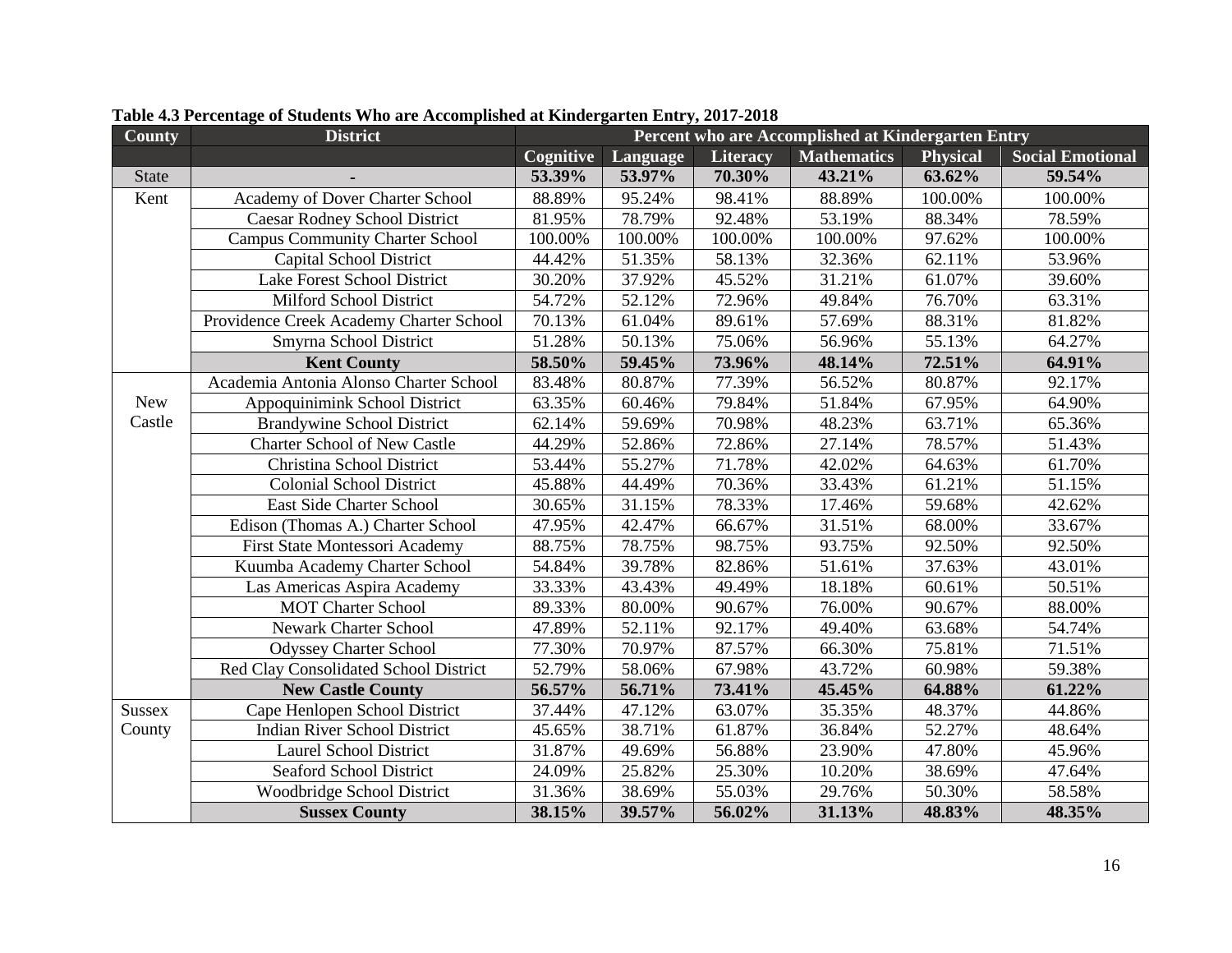| County               | <b>District</b>                         | Percent who are Accomplished at Kindergarten Entry |          |          |                    |                 |                         |  |
|----------------------|-----------------------------------------|----------------------------------------------------|----------|----------|--------------------|-----------------|-------------------------|--|
|                      |                                         | Cognitive                                          | Language | Literacy | <b>Mathematics</b> | <b>Physical</b> | <b>Social Emotional</b> |  |
| <b>State</b>         |                                         | 53.39%                                             | 53.97%   | 70.30%   | 43.21%             | 63.62%          | 59.54%                  |  |
| Kent                 | Academy of Dover Charter School         | 88.89%                                             | 95.24%   | 98.41%   | 88.89%             | 100.00%         | 100.00%                 |  |
|                      | <b>Caesar Rodney School District</b>    | 81.95%                                             | 78.79%   | 92.48%   | 53.19%             | 88.34%          | 78.59%                  |  |
|                      | <b>Campus Community Charter School</b>  | 100.00%                                            | 100.00%  | 100.00%  | 100.00%            | 97.62%          | 100.00%                 |  |
|                      | <b>Capital School District</b>          | 44.42%                                             | 51.35%   | 58.13%   | 32.36%             | 62.11%          | 53.96%                  |  |
|                      | Lake Forest School District             | 30.20%                                             | 37.92%   | 45.52%   | 31.21%             | 61.07%          | 39.60%                  |  |
|                      | <b>Milford School District</b>          | 54.72%                                             | 52.12%   | 72.96%   | 49.84%             | 76.70%          | 63.31%                  |  |
|                      | Providence Creek Academy Charter School | 70.13%                                             | 61.04%   | 89.61%   | 57.69%             | 88.31%          | 81.82%                  |  |
|                      | Smyrna School District                  | 51.28%                                             | 50.13%   | 75.06%   | 56.96%             | 55.13%          | 64.27%                  |  |
|                      | <b>Kent County</b>                      | 58.50%                                             | 59.45%   | 73.96%   | 48.14%             | 72.51%          | 64.91%                  |  |
|                      | Academia Antonia Alonso Charter School  | 83.48%                                             | 80.87%   | 77.39%   | 56.52%             | 80.87%          | 92.17%                  |  |
| <b>New</b><br>Castle | Appoquinimink School District           | 63.35%                                             | 60.46%   | 79.84%   | 51.84%             | 67.95%          | 64.90%                  |  |
|                      | <b>Brandywine School District</b>       | 62.14%                                             | 59.69%   | 70.98%   | 48.23%             | 63.71%          | 65.36%                  |  |
|                      | <b>Charter School of New Castle</b>     | 44.29%                                             | 52.86%   | 72.86%   | 27.14%             | 78.57%          | 51.43%                  |  |
|                      | Christina School District               | 53.44%                                             | 55.27%   | 71.78%   | 42.02%             | 64.63%          | 61.70%                  |  |
|                      | <b>Colonial School District</b>         | 45.88%                                             | 44.49%   | 70.36%   | 33.43%             | 61.21%          | 51.15%                  |  |
|                      | East Side Charter School                | 30.65%                                             | 31.15%   | 78.33%   | 17.46%             | 59.68%          | 42.62%                  |  |
|                      | Edison (Thomas A.) Charter School       | 47.95%                                             | 42.47%   | 66.67%   | 31.51%             | 68.00%          | 33.67%                  |  |
|                      | First State Montessori Academy          | 88.75%                                             | 78.75%   | 98.75%   | 93.75%             | 92.50%          | 92.50%                  |  |
|                      | Kuumba Academy Charter School           | 54.84%                                             | 39.78%   | 82.86%   | 51.61%             | 37.63%          | 43.01%                  |  |
|                      | Las Americas Aspira Academy             | 33.33%                                             | 43.43%   | 49.49%   | 18.18%             | 60.61%          | 50.51%                  |  |
|                      | <b>MOT Charter School</b>               | 89.33%                                             | 80.00%   | 90.67%   | 76.00%             | 90.67%          | 88.00%                  |  |
|                      | <b>Newark Charter School</b>            | 47.89%                                             | 52.11%   | 92.17%   | 49.40%             | 63.68%          | 54.74%                  |  |
|                      | <b>Odyssey Charter School</b>           | 77.30%                                             | 70.97%   | 87.57%   | 66.30%             | 75.81%          | 71.51%                  |  |
|                      | Red Clay Consolidated School District   | 52.79%                                             | 58.06%   | 67.98%   | 43.72%             | 60.98%          | 59.38%                  |  |
|                      | <b>New Castle County</b>                | 56.57%                                             | 56.71%   | 73.41%   | 45.45%             | 64.88%          | 61.22%                  |  |
| Sussex               | Cape Henlopen School District           | 37.44%                                             | 47.12%   | 63.07%   | 35.35%             | 48.37%          | 44.86%                  |  |
| County               | <b>Indian River School District</b>     | 45.65%                                             | 38.71%   | 61.87%   | 36.84%             | 52.27%          | 48.64%                  |  |
|                      | <b>Laurel School District</b>           | 31.87%                                             | 49.69%   | 56.88%   | 23.90%             | 47.80%          | 45.96%                  |  |
|                      | Seaford School District                 | 24.09%                                             | 25.82%   | 25.30%   | 10.20%             | 38.69%          | 47.64%                  |  |
|                      | Woodbridge School District              | 31.36%                                             | 38.69%   | 55.03%   | 29.76%             | 50.30%          | 58.58%                  |  |
|                      | <b>Sussex County</b>                    | 38.15%                                             | 39.57%   | 56.02%   | 31.13%             | 48.83%          | 48.35%                  |  |

**Table 4.3 Percentage of Students Who are Accomplished at Kindergarten Entry, 2017-2018**